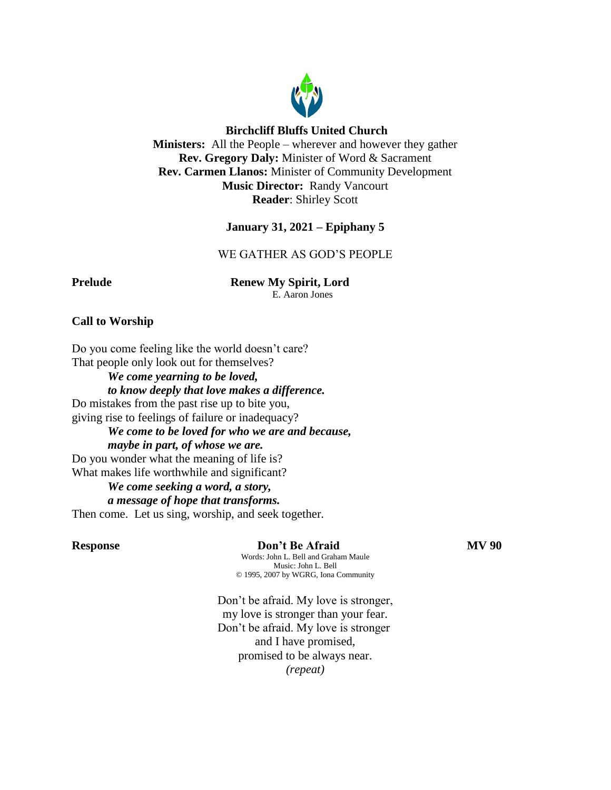

# **Birchcliff Bluffs United Church**

**Ministers:** All the People – wherever and however they gather **Rev. Gregory Daly:** Minister of Word & Sacrament **Rev. Carmen Llanos:** Minister of Community Development **Music Director:** Randy Vancourt **Reader**: Shirley Scott

# **January 31, 2021 – Epiphany 5**

WE GATHER AS GOD'S PEOPLE

**Prelude Renew My Spirit, Lord** 

E. Aaron Jones

# **Call to Worship**

Do you come feeling like the world doesn't care? That people only look out for themselves?

*We come yearning to be loved, to know deeply that love makes a difference.* Do mistakes from the past rise up to bite you, giving rise to feelings of failure or inadequacy? *We come to be loved for who we are and because,* 

*maybe in part, of whose we are.* Do you wonder what the meaning of life is? What makes life worthwhile and significant?

#### *We come seeking a word, a story, a message of hope that transforms.*

Then come. Let us sing, worship, and seek together.

# **Response Don't Be Afraid MV 90**

Words: John L. Bell and Graham Maule Music: John L. Bell © 1995, 2007 by WGRG, Iona Community

Don't be afraid. My love is stronger, my love is stronger than your fear. Don't be afraid. My love is stronger and I have promised, promised to be always near. *(repeat)*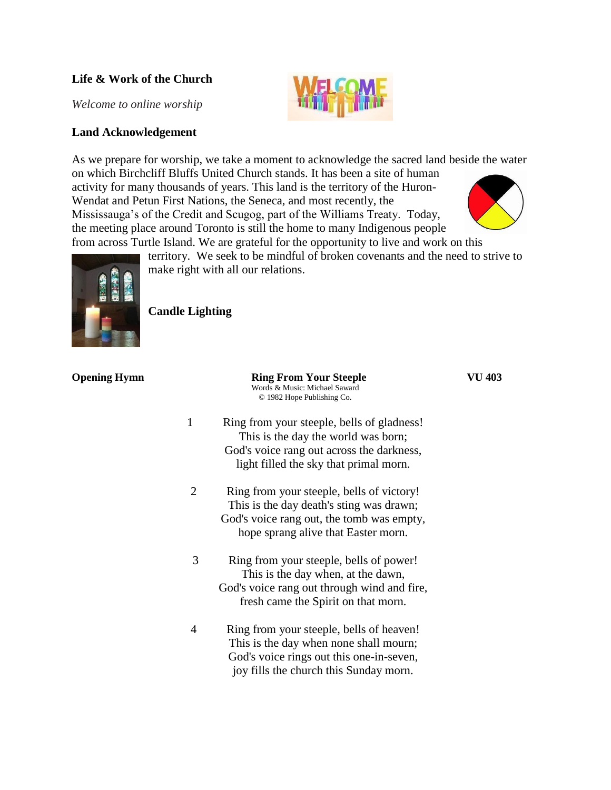# **Life & Work of the Church**

*Welcome to online worship*

# **Land Acknowledgement**

As we prepare for worship, we take a moment to acknowledge the sacred land beside the water on which Birchcliff Bluffs United Church stands. It has been a site of human activity for many thousands of years. This land is the territory of the Huron-Wendat and Petun First Nations, the Seneca, and most recently, the Mississauga's of the Credit and Scugog, part of the Williams Treaty. Today, the meeting place around Toronto is still the home to many Indigenous people from across Turtle Island. We are grateful for the opportunity to live and work on this





territory. We seek to be mindful of broken covenants and the need to strive to make right with all our relations.

**Candle Lighting**

| <b>Opening Hymn</b> |                | <b>Ring From Your Steeple</b><br>Words & Music: Michael Saward<br>© 1982 Hope Publishing Co.                                                                              | VU 403 |
|---------------------|----------------|---------------------------------------------------------------------------------------------------------------------------------------------------------------------------|--------|
|                     | $\mathbf{1}$   | Ring from your steeple, bells of gladness!<br>This is the day the world was born;<br>God's voice rang out across the darkness,<br>light filled the sky that primal morn.  |        |
|                     | $\overline{2}$ | Ring from your steeple, bells of victory!<br>This is the day death's sting was drawn;<br>God's voice rang out, the tomb was empty,<br>hope sprang alive that Easter morn. |        |
|                     | 3              | Ring from your steeple, bells of power!<br>This is the day when, at the dawn,<br>God's voice rang out through wind and fire,<br>fresh came the Spirit on that morn.       |        |
|                     | 4              | Ring from your steeple, bells of heaven!<br>This is the day when none shall mourn;<br>God's voice rings out this one-in-seven,<br>joy fills the church this Sunday morn.  |        |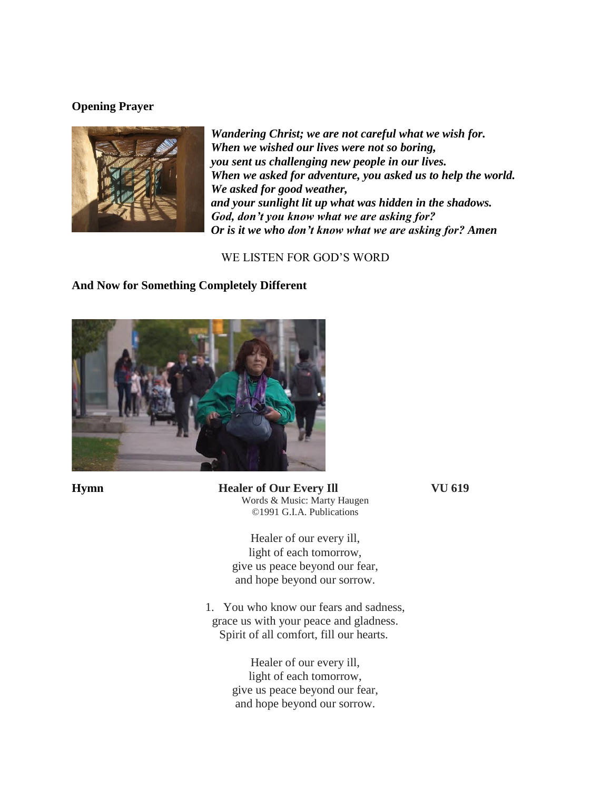# **Opening Prayer**



*Wandering Christ; we are not careful what we wish for. When we wished our lives were not so boring, you sent us challenging new people in our lives. When we asked for adventure, you asked us to help the world. We asked for good weather, and your sunlight lit up what was hidden in the shadows. God, don't you know what we are asking for? Or is it we who don't know what we are asking for? Amen*

WE LISTEN FOR GOD'S WORD

# **And Now for Something Completely Different**



**Hymn Healer of Our Every Ill VU 619** Words & Music: Marty Haugen ©1991 G.I.A. Publications

> Healer of our every ill, light of each tomorrow, give us peace beyond our fear, and hope beyond our sorrow.

1. You who know our fears and sadness, grace us with your peace and gladness. Spirit of all comfort, fill our hearts.

> Healer of our every ill, light of each tomorrow, give us peace beyond our fear, and hope beyond our sorrow.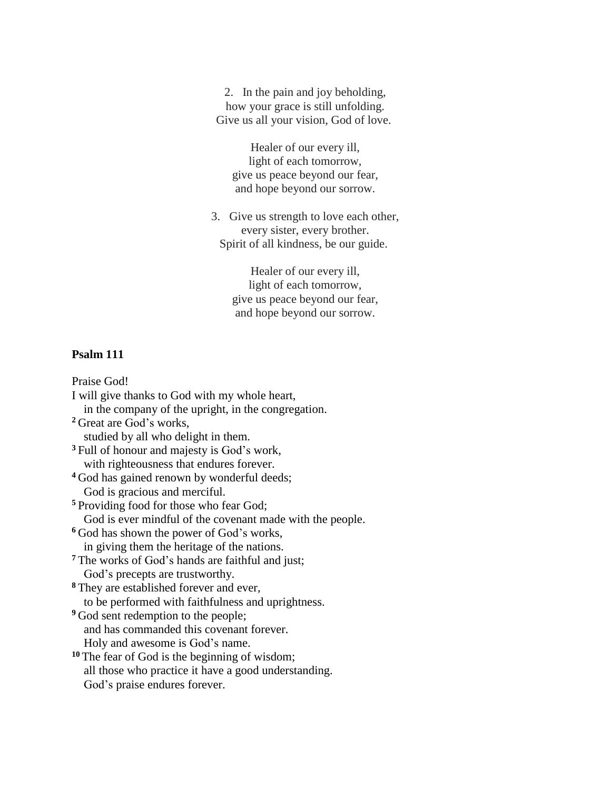2. In the pain and joy beholding, how your grace is still unfolding. Give us all your vision, God of love.

Healer of our every ill, light of each tomorrow, give us peace beyond our fear, and hope beyond our sorrow.

3. Give us strength to love each other, every sister, every brother. Spirit of all kindness, be our guide.

> Healer of our every ill, light of each tomorrow, give us peace beyond our fear, and hope beyond our sorrow.

### **Psalm 111**

Praise God! I will give thanks to God with my whole heart, in the company of the upright, in the congregation. **<sup>2</sup>** Great are God's works, studied by all who delight in them. **<sup>3</sup>** Full of honour and majesty is God's work, with righteousness that endures forever. **<sup>4</sup>** God has gained renown by wonderful deeds; God is gracious and merciful. **<sup>5</sup>** Providing food for those who fear God; God is ever mindful of the covenant made with the people. **<sup>6</sup>** God has shown the power of God's works, in giving them the heritage of the nations. **<sup>7</sup>** The works of God's hands are faithful and just; God's precepts are trustworthy. **<sup>8</sup>** They are established forever and ever, to be performed with faithfulness and uprightness. **<sup>9</sup>** God sent redemption to the people; and has commanded this covenant forever. Holy and awesome is God's name. **<sup>10</sup>** The fear of God is the beginning of wisdom; all those who practice it have a good understanding. God's praise endures forever.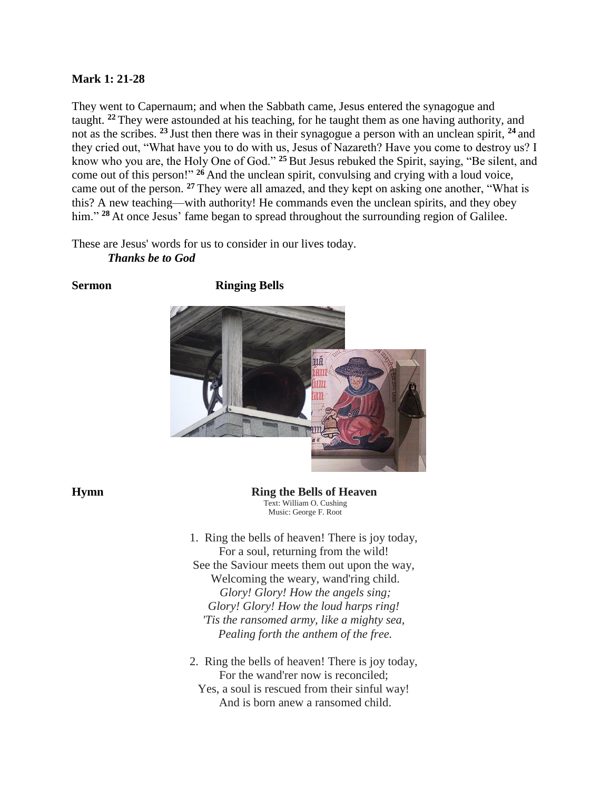## **Mark 1: 21-28**

They went to Capernaum; and when the Sabbath came, Jesus entered the synagogue and taught. **<sup>22</sup>** They were astounded at his teaching, for he taught them as one having authority, and not as the scribes. **<sup>23</sup>** Just then there was in their synagogue a person with an unclean spirit, **<sup>24</sup>** and they cried out, "What have you to do with us, Jesus of Nazareth? Have you come to destroy us? I know who you are, the Holy One of God." **<sup>25</sup>** But Jesus rebuked the Spirit, saying, "Be silent, and come out of this person!" **<sup>26</sup>** And the unclean spirit, convulsing and crying with a loud voice, came out of the person. **<sup>27</sup>** They were all amazed, and they kept on asking one another, "What is this? A new teaching—with authority! He commands even the unclean spirits, and they obey him." <sup>28</sup> At once Jesus' fame began to spread throughout the surrounding region of Galilee.

These are Jesus' words for us to consider in our lives today. *Thanks be to God*





**Hymn Ring the Bells of Heaven** Text: William O. Cushing Music: George F. Root

> 1. Ring the bells of heaven! There is joy today, For a soul, returning from the wild! See the Saviour meets them out upon the way, Welcoming the weary, wand'ring child. *Glory! Glory! How the angels sing; Glory! Glory! How the loud harps ring! 'Tis the ransomed army, like a mighty sea, Pealing forth the anthem of the free.*

> 2. Ring the bells of heaven! There is joy today, For the wand'rer now is reconciled; Yes, a soul is rescued from their sinful way! And is born anew a ransomed child.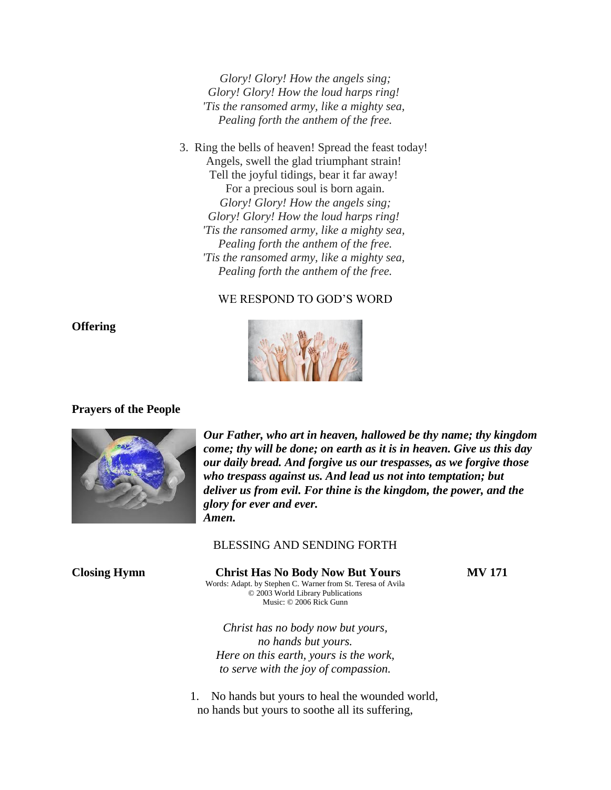*Glory! Glory! How the angels sing; Glory! Glory! How the loud harps ring! 'Tis the ransomed army, like a mighty sea, Pealing forth the anthem of the free.*

3. Ring the bells of heaven! Spread the feast today! Angels, swell the glad triumphant strain! Tell the joyful tidings, bear it far away! For a precious soul is born again. *Glory! Glory! How the angels sing; Glory! Glory! How the loud harps ring! 'Tis the ransomed army, like a mighty sea, Pealing forth the anthem of the free. 'Tis the ransomed army, like a mighty sea, Pealing forth the anthem of the free.*

# WE RESPOND TO GOD'S WORD



# **Prayers of the People**



*Our Father, who art in heaven, hallowed be thy name; thy kingdom come; thy will be done; on earth as it is in heaven. Give us this day our daily bread. And forgive us our trespasses, as we forgive those who trespass against us. And lead us not into temptation; but deliver us from evil. For thine is the kingdom, the power, and the glory for ever and ever. Amen.*

#### BLESSING AND SENDING FORTH

**Closing Hymn Christ Has No Body Now But Yours MV 171** Words: Adapt. by Stephen C. Warner from St. Teresa of Avila © 2003 World Library Publications Music: © 2006 Rick Gunn

*Christ has no body now but yours, no hands but yours. Here on this earth, yours is the work, to serve with the joy of compassion.*

1. No hands but yours to heal the wounded world, no hands but yours to soothe all its suffering,

# **Offering**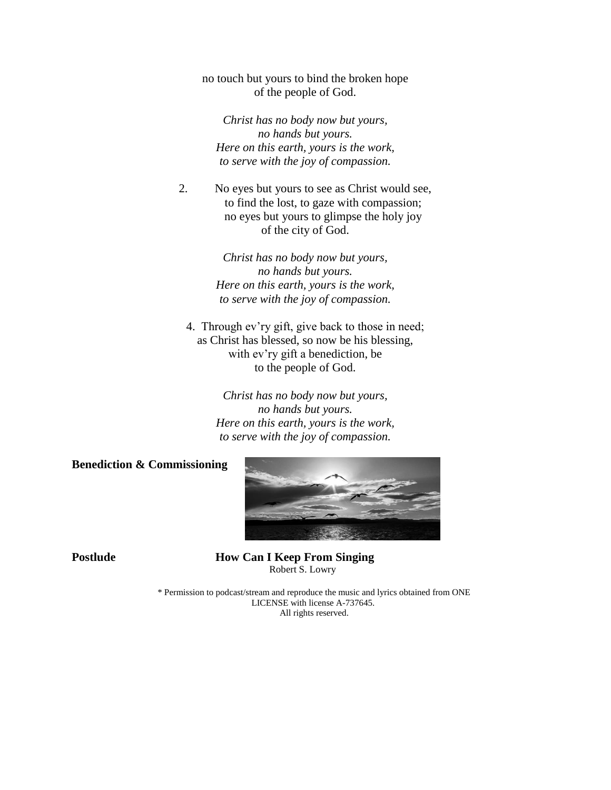no touch but yours to bind the broken hope of the people of God.

*Christ has no body now but yours, no hands but yours. Here on this earth, yours is the work, to serve with the joy of compassion.*

2. No eyes but yours to see as Christ would see, to find the lost, to gaze with compassion; no eyes but yours to glimpse the holy joy of the city of God.

> *Christ has no body now but yours, no hands but yours. Here on this earth, yours is the work, to serve with the joy of compassion.*

4. Through ev'ry gift, give back to those in need; as Christ has blessed, so now be his blessing, with ev'ry gift a benediction, be to the people of God.

> *Christ has no body now but yours, no hands but yours. Here on this earth, yours is the work, to serve with the joy of compassion.*

**Benediction & Commissioning**



**Postlude How Can I Keep From Singing** Robert S. Lowry

> \* Permission to podcast/stream and reproduce the music and lyrics obtained from ONE LICENSE with license A-737645. All rights reserved.